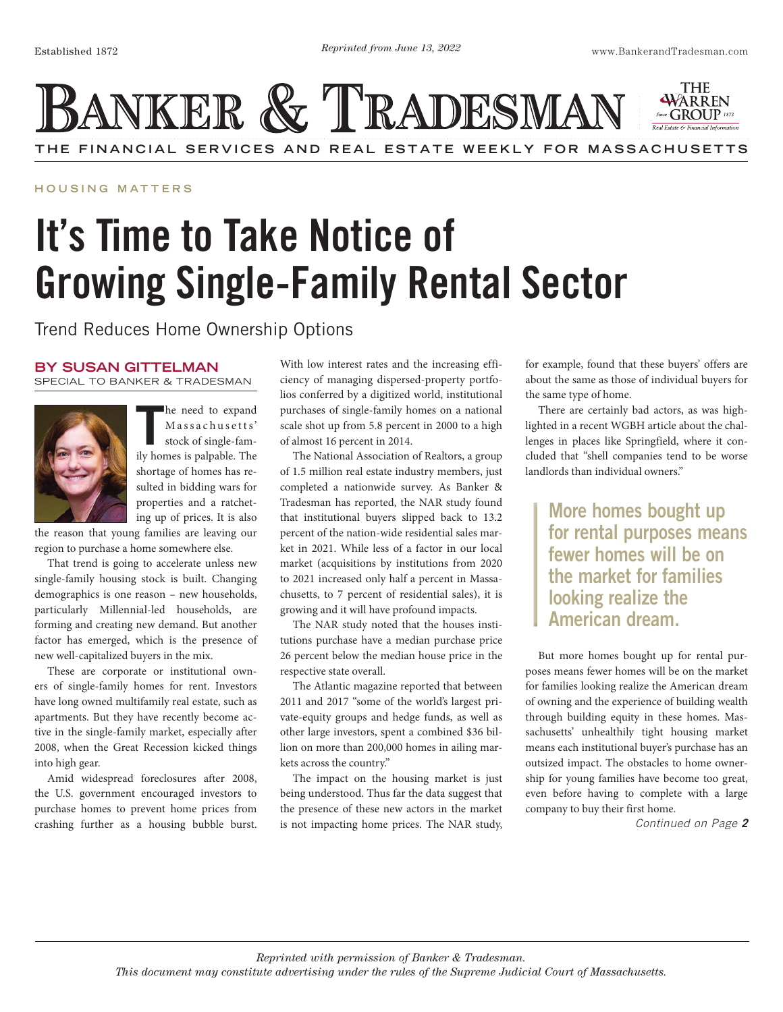**THE FINANCIAL SERVICES AND REAL ESTATE WEEKLY FOR MASSACHUSETTS**

THE WARREN

**HOUS ING MATTERS**

## It's Time to Take Notice of Growing Single-Family Rental Sector

BANKER & TRADESMAN

Trend Reduces Home Ownership Options

## **BY SUSAN GITTELMAN**

SPECIAL TO BANKER & TRADESMAN



In the need to expand Massachusetts' stock of single-family homes is palpable. The he need to expand Massachusetts' stock of single-famshortage of homes has resulted in bidding wars for properties and a ratcheting up of prices. It is also

the reason that young families are leaving our region to purchase a home somewhere else.

That trend is going to accelerate unless new single-family housing stock is built. Changing demographics is one reason – new households, particularly Millennial-led households, are forming and creating new demand. But another factor has emerged, which is the presence of new well-capitalized buyers in the mix.

These are corporate or institutional owners of single-family homes for rent. Investors have long owned multifamily real estate, such as apartments. But they have recently become active in the single-family market, especially after 2008, when the Great Recession kicked things into high gear.

Amid widespread foreclosures after 2008, the U.S. government encouraged investors to purchase homes to prevent home prices from crashing further as a housing bubble burst.

With low interest rates and the increasing efficiency of managing dispersed-property portfolios conferred by a digitized world, institutional purchases of single-family homes on a national scale shot up from 5.8 percent in 2000 to a high of almost 16 percent in 2014.

The National Association of Realtors, a group of 1.5 million real estate industry members, just completed a nationwide survey. As Banker & Tradesman has reported, the NAR study found that institutional buyers slipped back to 13.2 percent of the nation-wide residential sales market in 2021. While less of a factor in our local market (acquisitions by institutions from 2020 to 2021 increased only half a percent in Massachusetts, to 7 percent of residential sales), it is growing and it will have profound impacts.

The NAR study noted that the houses institutions purchase have a median purchase price 26 percent below the median house price in the respective state overall.

The Atlantic magazine reported that between 2011 and 2017 "some of the world's largest private-equity groups and hedge funds, as well as other large investors, spent a combined \$36 billion on more than 200,000 homes in ailing markets across the country."

The impact on the housing market is just being understood. Thus far the data suggest that the presence of these new actors in the market is not impacting home prices. The NAR study,

for example, found that these buyers' offers are about the same as those of individual buyers for the same type of home.

There are certainly bad actors, as was highlighted in a recent WGBH article about the challenges in places like Springfield, where it concluded that "shell companies tend to be worse landlords than individual owners."

More homes bought up for rental purposes means fewer homes will be on the market for families looking realize the American dream.

But more homes bought up for rental purposes means fewer homes will be on the market for families looking realize the American dream of owning and the experience of building wealth through building equity in these homes. Massachusetts' unhealthily tight housing market means each institutional buyer's purchase has an outsized impact. The obstacles to home ownership for young families have become too great, even before having to complete with a large company to buy their first home.

*Continued on Page 2*